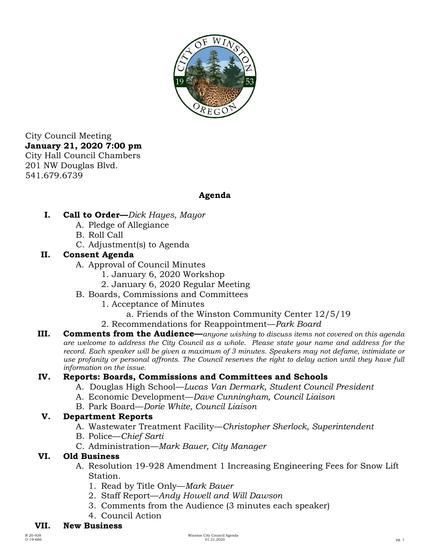

City Council Meeting **January 21, 2020 7:00 pm**  City Hall Council Chambers 201 NW Douglas Blvd. 541.679.6739

# **Agenda**

- **I. Call to Order—***Dick Hayes, Mayor* 
	- A. Pledge of Allegiance
	- B. Roll Call
	- C. Adjustment(s) to Agenda

## **II. Consent Agenda**

- A. Approval of Council Minutes
	- 1. January 6, 2020 Workshop
	- 2. January 6, 2020 Regular Meeting
- B. Boards, Commissions and Committees
	- 1. Acceptance of Minutes
		- a. Friends of the Winston Community Center 12/5/19
	- 2. Recommendations for Reappointment—*Park Board*
- **III. Comments from the Audience—***anyone wishing to discuss items not covered on this agenda are welcome to address the City Council as a whole. Please state your name and address for the record. Each speaker will be given a maximum of 3 minutes. Speakers may not defame, intimidate or use profanity or personal affronts. The Council reserves the right to delay action until they have full information on the issue.*

# **IV. Reports: Boards, Commissions and Committees and Schools**

- A. Douglas High School—*Lucas Van Dermark, Student Council President*
- A. Economic Development—*Dave Cunningham, Council Liaison*
- B. Park Board—*Dorie White, Council Liaison*

## **V. Department Reports**

- A. Wastewater Treatment Facility—*Christopher Sherlock, Superintendent*
- B. Police—*Chief Sarti*
- C. Administration—*Mark Bauer, City Manager*

## **VI. Old Business**

- A. Resolution 19-928 Amendment 1 Increasing Engineering Fees for Snow Lift Station.
	- 1. Read by Title Only—*Mark Bauer*
	- 2. Staff Report—*Andy Howell and Will Dawson*
	- 3. Comments from the Audience (3 minutes each speaker)
	- 4. Council Action

## **VII. New Business**